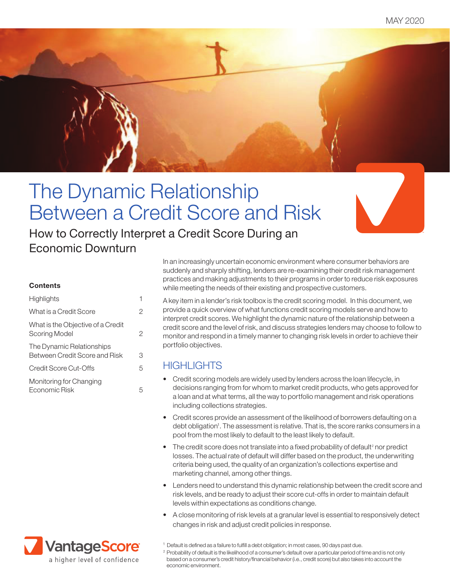MAY 2020



# The Dynamic Relationship Between a Credit Score and Risk

How to Correctly Interpret a Credit Score During an Economic Downturn

#### **Contents**

| Highlights                                                        |   |
|-------------------------------------------------------------------|---|
| What is a Credit Score                                            | 2 |
| What is the Objective of a Credit<br>Scoring Model                | 2 |
| The Dynamic Relationships<br><b>Between Credit Score and Risk</b> | З |
| Credit Score Cut-Offs                                             | 5 |
| Monitoring for Changing<br>Fconomic Risk                          | 5 |



In an increasingly uncertain economic environment where consumer behaviors are suddenly and sharply shifting, lenders are re-examining their credit risk management practices and making adjustments to their programs in order to reduce risk exposures while meeting the needs of their existing and prospective customers.

A key item in a lender's risk toolbox is the credit scoring model. In this document, we provide a quick overview of what functions credit scoring models serve and how to interpret credit scores. We highlight the dynamic nature of the relationship between a credit score and the level of risk, and discuss strategies lenders may choose to follow to monitor and respond in a timely manner to changing risk levels in order to achieve their portfolio objectives.

## **HIGHLIGHTS**

- Credit scoring models are widely used by lenders across the loan lifecycle, in decisions ranging from for whom to market credit products, who gets approved for a loan and at what terms, all the way to portfolio management and risk operations including collections strategies.
- Credit scores provide an assessment of the likelihood of borrowers defaulting on a debt obligation<sup>1</sup>. The assessment is relative. That is, the score ranks consumers in a pool from the most likely to default to the least likely to default.
- $\bullet$  The credit score does not translate into a fixed probability of default<sup>2</sup> nor predict losses. The actual rate of default will differ based on the product, the underwriting criteria being used, the quality of an organization's collections expertise and marketing channel, among other things.
- Lenders need to understand this dynamic relationship between the credit score and risk levels, and be ready to adjust their score cut-offs in order to maintain default levels within expectations as conditions change.
- A close monitoring of risk levels at a granular level is essential to responsively detect changes in risk and adjust credit policies in response.
- $1$  Default is defined as a failure to fulfill a debt obligation; in most cases, 90 days past due.

<sup>2</sup> Probability of default is the likelihood of a consumer's default over a particular period of time and is not only based on a consumer's credit history/financial behavior (i.e., credit score) but also takes into account the economic environment.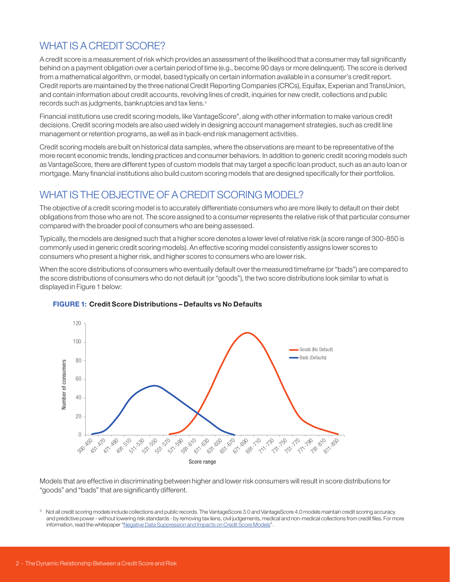## WHAT IS A CREDIT SCORE?

A credit score is a measurement of risk which provides an assessment of the likelihood that a consumer may fall significantly behind on a payment obligation over a certain period of time (e.g., become 90 days or more delinquent). The score is derived from a mathematical algorithm, or model, based typically on certain information available in a consumer's credit report. Credit reports are maintained by the three national Credit Reporting Companies (CRCs), Equifax, Experian and TransUnion, and contain information about credit accounts, revolving lines of credit, inquiries for new credit, collections and public records such as judgments, bankruptcies and tax liens.<sup>3</sup>

Financial institutions use credit scoring models, like VantageScore® , along with other information to make various credit decisions. Credit scoring models are also used widely in designing account management strategies, such as credit line management or retention programs, as well as in back-end risk management activities.

Credit scoring models are built on historical data samples, where the observations are meant to be representative of the more recent economic trends, lending practices and consumer behaviors. In addition to generic credit scoring models such as VantageScore, there are different types of custom models that may target a specific loan product, such as an auto loan or mortgage. Many financial institutions also build custom scoring models that are designed specifically for their portfolios.

## WHAT IS THE OBJECTIVE OF A CREDIT SCORING MODEL?

The objective of a credit scoring model is to accurately differentiate consumers who are more likely to default on their debt obligations from those who are not. The score assigned to a consumer represents the relative risk of that particular consumer compared with the broader pool of consumers who are being assessed.

Typically, the models are designed such that a higher score denotes a lower level of relative risk (a score range of 300-850 is commonly used in generic credit scoring models). An effective scoring model consistently assigns lower scores to consumers who present a higher risk, and higher scores to consumers who are lower risk.

When the score distributions of consumers who eventually default over the measured timeframe (or "bads") are compared to the score distributions of consumers who do not default (or "goods"), the two score distributions look similar to what is displayed in Figure 1 below:



#### FIGURE 1: Credit Score Distributions – Defaults vs No Defaults

Models that are effective in discriminating between higher and lower risk consumers will result in score distributions for "goods" and "bads" that are significantly different.

Not all credit scoring models include collections and public records. The VantageScore 3.0 and VantageScore 4.0 models maintain credit scoring accuracy and predictive power - without lowering risk standards - by removing tax liens, civil judgements, medical and non-medical collections from credit files. For more information, read the whitepaper "Negative Data Suppression and Impacts on Credit Score Models".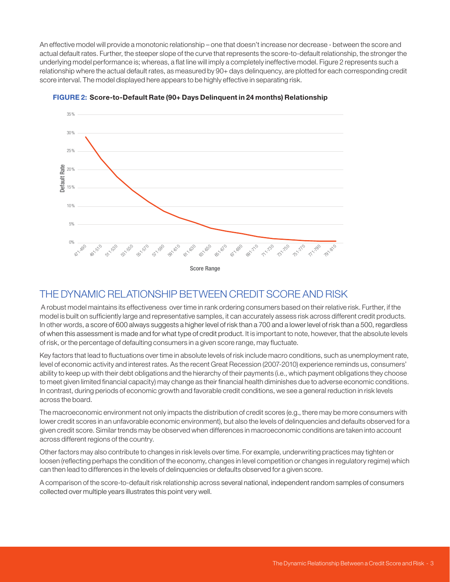An effective model will provide a monotonic relationship – one that doesn't increase nor decrease - between the score and actual default rates. Further, the steeper slope of the curve that represents the score-to-default relationship, the stronger the underlying model performance is; whereas, a flat line will imply a completely ineffective model. Figure 2 represents such a relationship where the actual default rates, as measured by 90+ days delinquency, are plotted for each corresponding credit score interval. The model displayed here appears to be highly effective in separating risk.



FIGURE 2: Score-to-Default Rate (90+ Days Delinquent in 24 months) Relationship Score -to- Default Relationship

## THE DYNAMIC RELATIONSHIP BETWEEN CREDIT SCORE AND RISK

 A robust model maintains its effectiveness over time in rank ordering consumers based on their relative risk. Further, if the model is built on sufficiently large and representative samples, it can accurately assess risk across different credit products. In other words, a score of 600 always suggests a higher level of risk than a 700 and a lower level of risk than a 500, regardless of when this assessment is made and for what type of credit product. It is important to note, however, that the absolute levels of risk, or the percentage of defaulting consumers in a given score range, may fluctuate.

Key factors that lead to fluctuations over time in absolute levels of risk include macro conditions, such as unemployment rate, level of economic activity and interest rates. As the recent Great Recession (2007-2010) experience reminds us, consumers' ability to keep up with their debt obligations and the hierarchy of their payments (i.e., which payment obligations they choose to meet given limited financial capacity) may change as their financial health diminishes due to adverse economic conditions. In contrast, during periods of economic growth and favorable credit conditions, we see a general reduction in risk levels across the board.

The macroeconomic environment not only impacts the distribution of credit scores (e.g., there may be more consumers with lower credit scores in an unfavorable economic environment), but also the levels of delinquencies and defaults observed for a given credit score. Similar trends may be observed when differences in macroeconomic conditions are taken into account across different regions of the country.

Other factors may also contribute to changes in risk levels over time. For example, underwriting practices may tighten or loosen (reflecting perhaps the condition of the economy, changes in level competition or changes in regulatory regime) which can then lead to differences in the levels of delinquencies or defaults observed for a given score.

A comparison of the score-to-default risk relationship across several national, independent random samples of consumers collected over multiple years illustrates this point very well.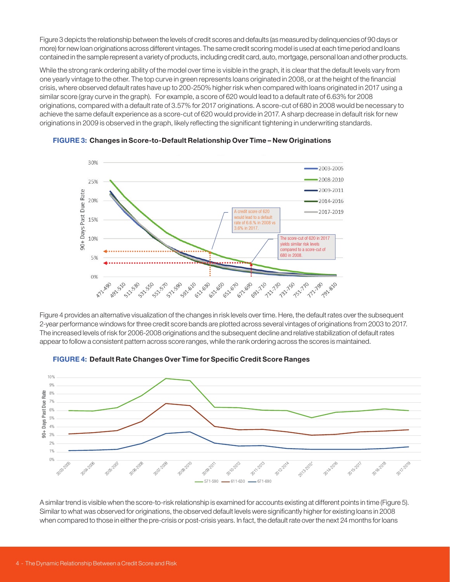Figure 3 depicts the relationship between the levels of credit scores and defaults (as measured by delinquencies of 90 days or more) for new loan originations across different vintages. The same credit scoring model is used at each time period and loans contained in the sample represent a variety of products, including credit card, auto, mortgage, personal loan and other products.

While the strong rank ordering ability of the model over time is visible in the graph, it is clear that the default levels vary from one yearly vintage to the other. The top curve in green represents loans originated in 2008, or at the height of the financial crisis, where observed default rates have up to 200-250% higher risk when compared with loans originated in 2017 using a similar score (gray curve in the graph). For example, a score of 620 would lead to a default rate of 6.63% for 2008 originations, compared with a default rate of 3.57% for 2017 originations. A score-cut of 680 in 2008 would be necessary to achieve the same default experience as a score-cut of 620 would provide in 2017. A sharp decrease in default risk for new originations in 2009 is observed in the graph, likely reflecting the significant tightening in underwriting standards.



FIGURE 3: Changes in Score-to-Default Relationship Over Time – New Originations

Figure 4 provides an alternative visualization of the changes in risk levels over time. Here, the default rates over the subsequent 2-year performance windows for three credit score bands are plotted across several vintages of originations from 2003 to 2017. The increased levels of risk for 2006-2008 originations and the subsequent decline and relative stabilization of default rates appear to follow a consistent pattern across score ranges, while the rank ordering across the scores is maintained.



FIGURE 4: Default Rate Changes Over Time for Specific Credit Score Ranges

A similar trend is visible when the score-to-risk relationship is examined for accounts existing at different points in time (Figure 5). Similar to what was observed for originations, the observed default levels were significantly higher for existing loans in 2008 when compared to those in either the pre-crisis or post-crisis years. In fact, the default rate over the next 24 months for loans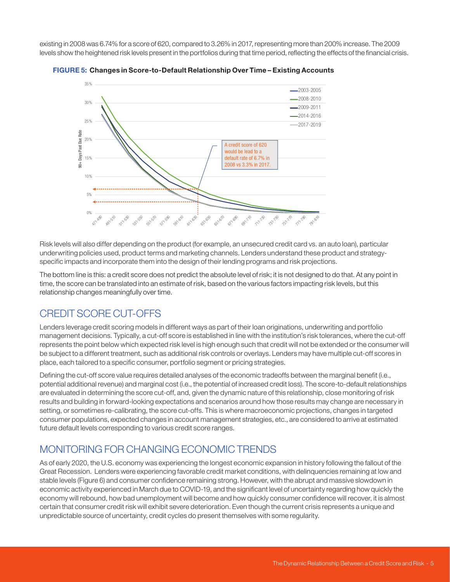existing in 2008 was 6.74% for a score of 620, compared to 3.26% in 2017, representing more than 200% increase. The 2009 levels show the heightened risk levels present in the portfolios during that time period, reflecting the effects of the financial crisis.





Risk levels will also differ depending on the product (for example, an unsecured credit card vs. an auto loan), particular underwriting policies used, product terms and marketing channels. Lenders understand these product and strategyspecific impacts and incorporate them into the design of their lending programs and risk projections.

The bottom line is this: a credit score does not predict the absolute level of risk; it is not designed to do that. At any point in time, the score can be translated into an estimate of risk, based on the various factors impacting risk levels, but this relationship changes meaningfully over time.

## CREDIT SCORE CUT-OFFS

Lenders leverage credit scoring models in different ways as part of their loan originations, underwriting and portfolio management decisions. Typically, a cut-off score is established in line with the institution's risk tolerances, where the cut-off represents the point below which expected risk level is high enough such that credit will not be extended or the consumer will be subject to a different treatment, such as additional risk controls or overlays. Lenders may have multiple cut-off scores in place, each tailored to a specific consumer, portfolio segment or pricing strategies.

Defining the cut-off score value requires detailed analyses of the economic tradeoffs between the marginal benefit (i.e., potential additional revenue) and marginal cost (i.e., the potential of increased credit loss). The score-to-default relationships are evaluated in determining the score cut-off, and, given the dynamic nature of this relationship, close monitoring of risk results and building in forward-looking expectations and scenarios around how those results may change are necessary in setting, or sometimes re-calibrating, the score cut-offs. This is where macroeconomic projections, changes in targeted consumer populations, expected changes in account management strategies, etc., are considered to arrive at estimated future default levels corresponding to various credit score ranges.

## MONITORING FOR CHANGING ECONOMIC TRENDS

As of early 2020, the U.S. economy was experiencing the longest economic expansion in history following the fallout of the Great Recession. Lenders were experiencing favorable credit market conditions, with delinquencies remaining at low and stable levels (Figure 6) and consumer confidence remaining strong. However, with the abrupt and massive slowdown in economic activity experienced in March due to COVID-19, and the significant level of uncertainty regarding how quickly the economy will rebound, how bad unemployment will become and how quickly consumer confidence will recover, it is almost certain that consumer credit risk will exhibit severe deterioration. Even though the current crisis represents a unique and unpredictable source of uncertainty, credit cycles do present themselves with some regularity.